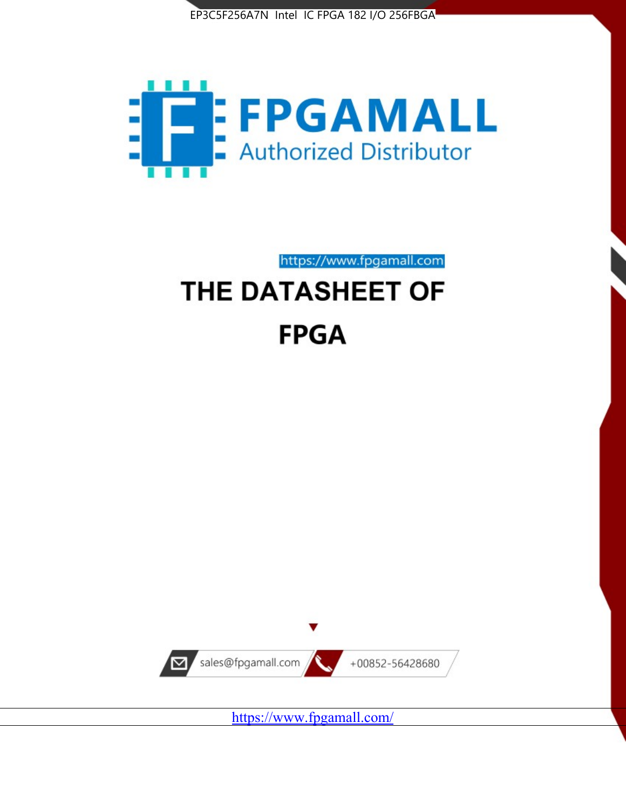



https://www.fpgamall.com

# THE DATASHEET OF **FPGA**



<https://www.fpgamall.com/>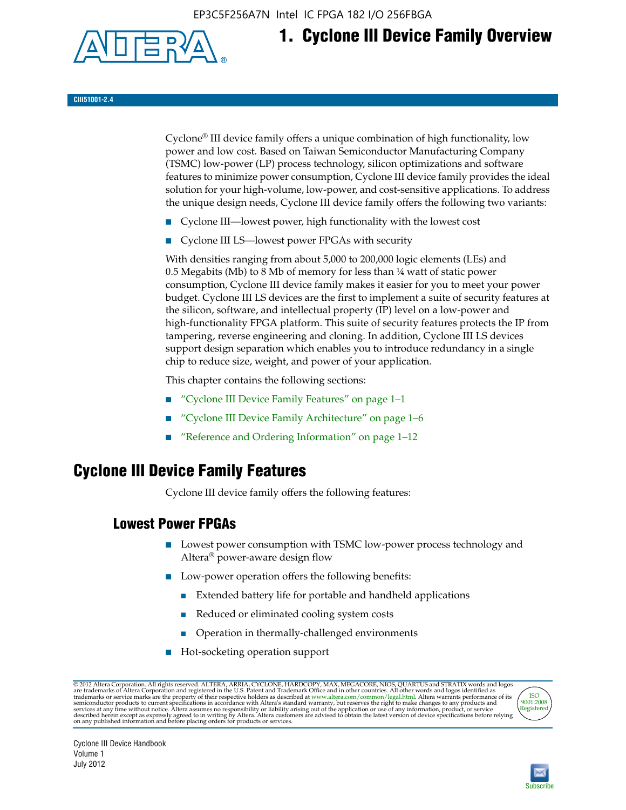EP3C5F256A7N Intel IC FPGA 182 I/O 256FBGA



# **1. Cyclone III Device Family Overview**

**CIII51001-2.4**

Cyclone® III device family offers a unique combination of high functionality, low power and low cost. Based on Taiwan Semiconductor Manufacturing Company (TSMC) low-power (LP) process technology, silicon optimizations and software features to minimize power consumption, Cyclone III device family provides the ideal solution for your high-volume, low-power, and cost-sensitive applications. To address the unique design needs, Cyclone III device family offers the following two variants:

- Cyclone III—lowest power, high functionality with the lowest cost
- Cyclone III LS—lowest power FPGAs with security

With densities ranging from about 5,000 to 200,000 logic elements (LEs) and 0.5 Megabits (Mb) to 8 Mb of memory for less than ¼ watt of static power consumption, Cyclone III device family makes it easier for you to meet your power budget. Cyclone III LS devices are the first to implement a suite of security features at the silicon, software, and intellectual property (IP) level on a low-power and high-functionality FPGA platform. This suite of security features protects the IP from tampering, reverse engineering and cloning. In addition, Cyclone III LS devices support design separation which enables you to introduce redundancy in a single chip to reduce size, weight, and power of your application.

This chapter contains the following sections:

- "Cyclone III Device Family Features" on page 1–1
- "Cyclone III Device Family Architecture" on page 1–6
- "Reference and Ordering Information" on page 1–12

### **Cyclone III Device Family Features**

Cyclone III device family offers the following features:

#### **Lowest Power FPGAs**

- Lowest power consumption with TSMC low-power process technology and Altera® power-aware design flow
- Low-power operation offers the following benefits:
	- Extended battery life for portable and handheld applications
	- Reduced or eliminated cooling system costs
	- Operation in thermally-challenged environments
- Hot-socketing operation support

@ 2012 Altera Corporation. All rights reserved. ALTERA, ARRIA, CYCLONE, HARDCOPY, MAX, MEGACORE, NIOS, QUARTUS and STRATIX words and logos are trademarks of Altera Corporation and registered in the U.S. Patent and Trademar



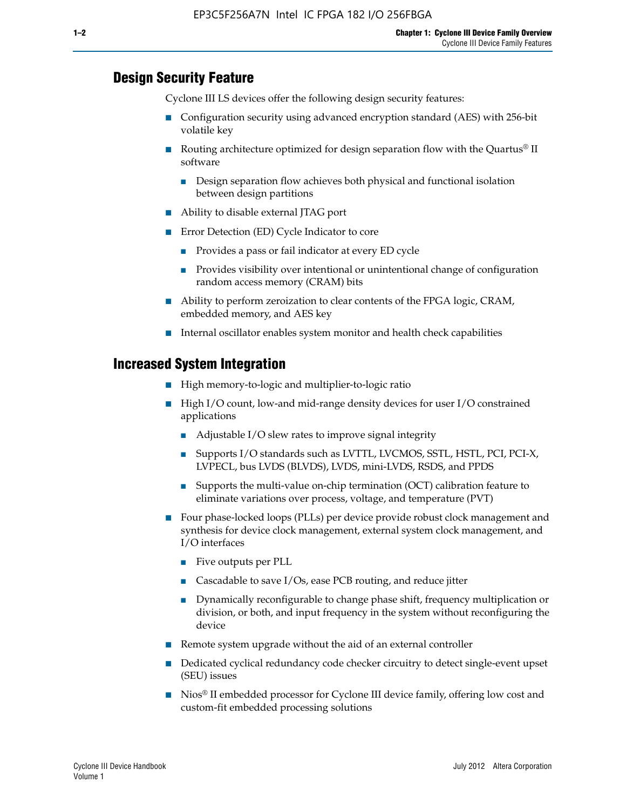#### **Design Security Feature**

Cyclone III LS devices offer the following design security features:

- Configuration security using advanced encryption standard (AES) with 256-bit volatile key
- **■** Routing architecture optimized for design separation flow with the Quartus<sup>®</sup> II software
	- Design separation flow achieves both physical and functional isolation between design partitions
- Ability to disable external JTAG port
- Error Detection (ED) Cycle Indicator to core
	- Provides a pass or fail indicator at every ED cycle
	- Provides visibility over intentional or unintentional change of configuration random access memory (CRAM) bits
- Ability to perform zeroization to clear contents of the FPGA logic, CRAM, embedded memory, and AES key
- Internal oscillator enables system monitor and health check capabilities

#### **Increased System Integration**

- High memory-to-logic and multiplier-to-logic ratio
- High I/O count, low-and mid-range density devices for user I/O constrained applications
	- Adjustable I/O slew rates to improve signal integrity
	- Supports I/O standards such as LVTTL, LVCMOS, SSTL, HSTL, PCI, PCI-X, LVPECL, bus LVDS (BLVDS), LVDS, mini-LVDS, RSDS, and PPDS
	- Supports the multi-value on-chip termination (OCT) calibration feature to eliminate variations over process, voltage, and temperature (PVT)
- Four phase-locked loops (PLLs) per device provide robust clock management and synthesis for device clock management, external system clock management, and I/O interfaces
	- Five outputs per PLL
	- Cascadable to save I/Os, ease PCB routing, and reduce jitter
	- Dynamically reconfigurable to change phase shift, frequency multiplication or division, or both, and input frequency in the system without reconfiguring the device
- Remote system upgrade without the aid of an external controller
- Dedicated cyclical redundancy code checker circuitry to detect single-event upset (SEU) issues
- Nios<sup>®</sup> II embedded processor for Cyclone III device family, offering low cost and custom-fit embedded processing solutions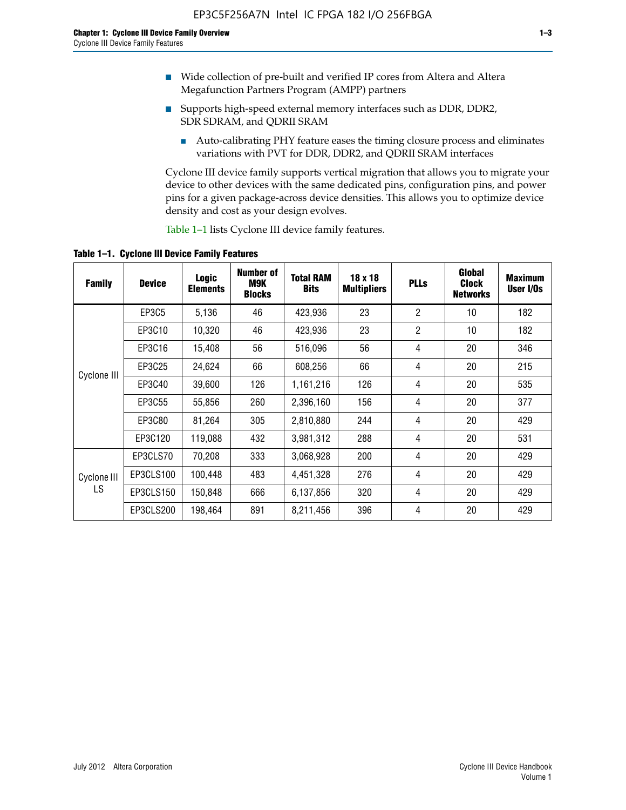- Wide collection of pre-built and verified IP cores from Altera and Altera Megafunction Partners Program (AMPP) partners
- Supports high-speed external memory interfaces such as DDR, DDR2, SDR SDRAM, and QDRII SRAM
	- Auto-calibrating PHY feature eases the timing closure process and eliminates variations with PVT for DDR, DDR2, and QDRII SRAM interfaces

Cyclone III device family supports vertical migration that allows you to migrate your device to other devices with the same dedicated pins, configuration pins, and power pins for a given package-across device densities. This allows you to optimize device density and cost as your design evolves.

Table 1–1 lists Cyclone III device family features.

**Table 1–1. Cyclone III Device Family Features**

| <b>Family</b>     | <b>Device</b> | <b>Logic</b><br><b>Elements</b> | Number of<br>M9K<br><b>Blocks</b> | <b>Total RAM</b><br><b>Bits</b> | 18 x 18<br><b>Multipliers</b> | <b>PLLs</b>    | Global<br><b>Clock</b><br><b>Networks</b> | <b>Maximum</b><br>User I/Os |
|-------------------|---------------|---------------------------------|-----------------------------------|---------------------------------|-------------------------------|----------------|-------------------------------------------|-----------------------------|
|                   | <b>EP3C5</b>  | 5,136                           | 46                                | 423,936                         | 23                            | $\overline{2}$ | 10                                        | 182                         |
|                   | EP3C10        | 10,320                          | 46                                | 423,936                         | 23                            | $\overline{2}$ | 10                                        | 182                         |
|                   | EP3C16        | 15,408                          | 56                                | 516,096                         | 56                            | 4              | 20                                        | 346                         |
|                   | EP3C25        | 24,624                          | 66                                | 608,256                         | 66                            | 4              | 20                                        | 215                         |
| Cyclone III       | EP3C40        | 39,600                          | 126                               | 1,161,216                       | 126                           | 4              | 20                                        | 535                         |
|                   | EP3C55        | 55,856                          | 260                               | 2,396,160                       | 156                           | 4              | 20                                        | 377                         |
|                   | EP3C80        | 81,264                          | 305                               | 2,810,880                       | 244                           | 4              | 20                                        | 429                         |
|                   | EP3C120       | 119,088                         | 432                               | 3,981,312                       | 288                           | 4              | 20                                        | 531                         |
|                   | EP3CLS70      | 70,208                          | 333                               | 3,068,928                       | 200                           | 4              | 20                                        | 429                         |
| Cyclone III<br>LS | EP3CLS100     | 100,448                         | 483                               | 4,451,328                       | 276                           | 4              | 20                                        | 429                         |
|                   | EP3CLS150     | 150,848                         | 666                               | 6,137,856                       | 320                           | 4              | 20                                        | 429                         |
|                   | EP3CLS200     | 198,464                         | 891                               | 8,211,456                       | 396                           | 4              | 20                                        | 429                         |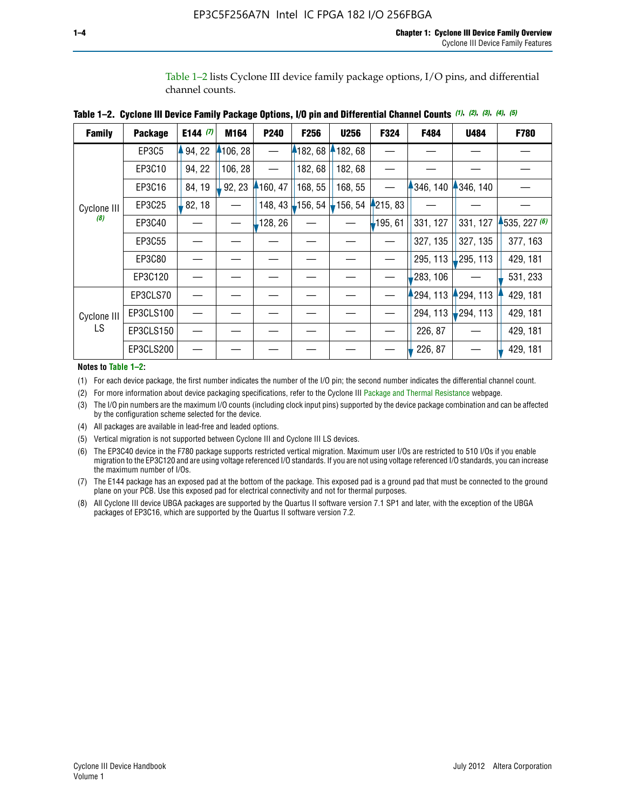Table 1–2 lists Cyclone III device family package options, I/O pins, and differential channel counts.

| <b>Family</b> | <b>Package</b> | E144 $(7)$ | M164     | P240     | F256            | <b>U256</b> | F324       | F484     | <b>U484</b>            | F780           |
|---------------|----------------|------------|----------|----------|-----------------|-------------|------------|----------|------------------------|----------------|
|               | EP3C5          | 94, 22     | 4106, 28 |          | 182, 68         | 182, 68     |            |          |                        |                |
|               | EP3C10         | 94, 22     | 106, 28  |          | 182, 68         | 182,68      |            |          |                        |                |
|               | EP3C16         | 84, 19     | 92, 23   | 160, 47  | 168, 55         | 168, 55     |            | 346, 140 | 4346, 140              |                |
| Cyclone III   | EP3C25         | 82, 18     |          | 148, 43  | $\vert$ 156, 54 | $-156, 54$  | 4215, 83   |          |                        |                |
| (8)           | EP3C40         |            |          | ,128, 26 |                 |             | $-195, 61$ | 331, 127 | 331, 127               | $-535, 227(6)$ |
|               | EP3C55         |            |          |          |                 |             |            | 327, 135 | 327, 135               | 377, 163       |
|               | EP3C80         |            |          |          |                 |             |            | 295, 113 | 295, 113               | 429, 181       |
|               | EP3C120        |            |          |          |                 |             |            | 283, 106 |                        | 531, 233       |
|               | EP3CLS70       |            |          |          |                 |             |            | 294, 113 | $-294, 113$            | 429, 181       |
| Cyclone III   | EP3CLS100      |            |          |          |                 |             |            | 294, 113 | $\frac{1}{2}$ 294, 113 | 429, 181       |
| LS.           | EP3CLS150      |            |          |          |                 |             |            | 226, 87  |                        | 429, 181       |
|               | EP3CLS200      |            |          |          |                 |             |            | 226, 87  |                        | 429, 181       |

**Table 1–2. Cyclone III Device Family Package Options, I/O pin and Differential Channel Counts** *(1)***,** *(2)***,** *(3)***,** *(4)***,** *(5)*

**Notes to Table 1–2:**

(1) For each device package, the first number indicates the number of the I/O pin; the second number indicates the differential channel count.

(2) For more information about device packaging specifications, refer to the Cyclone III [Package and Thermal Resistance](http://www.altera.com/support/devices/packaging/specifications/pkg-pin/dev-package-listing.jsp?device=Cyclone_III) webpage.

(3) The I/O pin numbers are the maximum I/O counts (including clock input pins) supported by the device package combination and can be affected by the configuration scheme selected for the device.

(4) All packages are available in lead-free and leaded options.

(5) Vertical migration is not supported between Cyclone III and Cyclone III LS devices.

(6) The EP3C40 device in the F780 package supports restricted vertical migration. Maximum user I/Os are restricted to 510 I/Os if you enable migration to the EP3C120 and are using voltage referenced I/O standards. If you are not using voltage referenced I/O standards, you can increase the maximum number of I/Os.

(7) The E144 package has an exposed pad at the bottom of the package. This exposed pad is a ground pad that must be connected to the ground plane on your PCB. Use this exposed pad for electrical connectivity and not for thermal purposes.

(8) All Cyclone III device UBGA packages are supported by the Quartus II software version 7.1 SP1 and later, with the exception of the UBGA packages of EP3C16, which are supported by the Quartus II software version 7.2.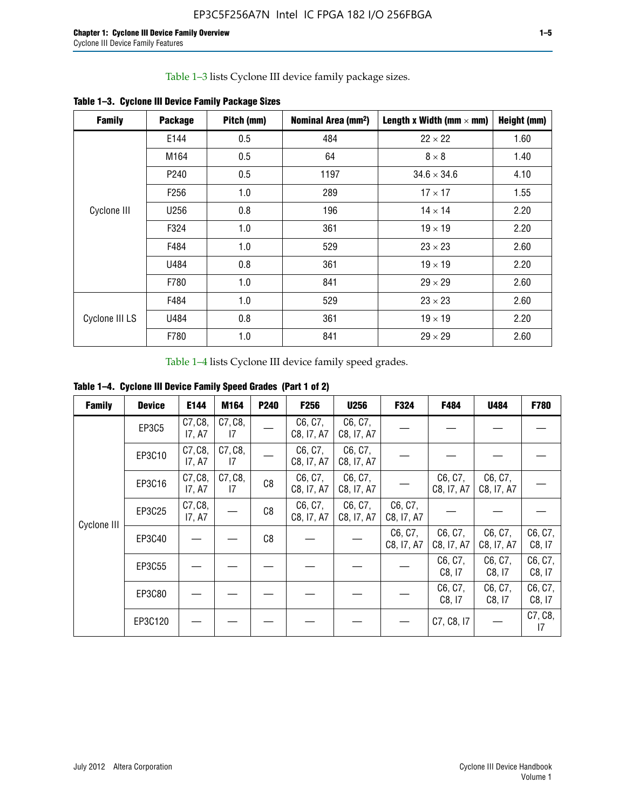Table 1–3 lists Cyclone III device family package sizes.

| <b>Family</b>  | <b>Package</b>   | Pitch (mm) | Nominal Area (mm <sup>2</sup> ) | Length x Width (mm $\times$ mm) | Height (mm) |
|----------------|------------------|------------|---------------------------------|---------------------------------|-------------|
|                | E144             | 0.5        | 484                             | $22 \times 22$                  | 1.60        |
|                | M164             | 0.5        | 64                              | $8 \times 8$                    | 1.40        |
|                | P <sub>240</sub> | 0.5        | 1197                            | $34.6 \times 34.6$              | 4.10        |
|                | F <sub>256</sub> | 1.0        | 289                             | $17 \times 17$                  | 1.55        |
| Cyclone III    | U256             | 0.8        | 196                             | $14 \times 14$                  | 2.20        |
|                | F324             | 1.0        | 361                             | $19 \times 19$                  | 2.20        |
|                | F484             | 1.0        | 529                             | $23 \times 23$                  | 2.60        |
|                | U484             | 0.8        | 361                             | $19 \times 19$                  | 2.20        |
|                | F780             | 1.0        | 841                             | $29 \times 29$                  | 2.60        |
|                | F484             | 1.0        | 529                             | $23 \times 23$                  | 2.60        |
| Cyclone III LS | U484             | 0.8        | 361                             | $19 \times 19$                  | 2.20        |
|                | F780             | 1.0        | 841                             | $29 \times 29$                  | 2.60        |

**Table 1–3. Cyclone III Device Family Package Sizes**

Table 1–4 lists Cyclone III device family speed grades.

**Table 1–4. Cyclone III Device Family Speed Grades (Part 1 of 2)**

| <b>Family</b> | <b>Device</b> | E144              | M164          | <b>P240</b> | <b>F256</b>           | <b>U256</b>           | F324                  | F484                  | U484                  | <b>F780</b>       |
|---------------|---------------|-------------------|---------------|-------------|-----------------------|-----------------------|-----------------------|-----------------------|-----------------------|-------------------|
|               | EP3C5         | C7, C8,<br>17, A7 | C7, C8,<br>17 |             | C6, C7,<br>C8, I7, A7 | C6, C7,<br>C8, I7, A7 |                       |                       |                       |                   |
|               | EP3C10        | C7, C8,<br>17, A7 | C7, C8,<br>17 |             | C6, C7,<br>C8, I7, A7 | C6, C7,<br>C8, I7, A7 |                       |                       |                       |                   |
|               | EP3C16        | C7, C8,<br>17, A7 | C7, C8,<br>17 | C8          | C6, C7,<br>C8, I7, A7 | C6, C7,<br>C8, I7, A7 |                       | C6, C7,<br>C8, I7, A7 | C6, C7,<br>C8, I7, A7 |                   |
| Cyclone III   | EP3C25        | C7, C8,<br>17, A7 |               | C8          | C6, C7,<br>C8, I7, A7 | C6, C7,<br>C8, I7, A7 | C6, C7,<br>C8, I7, A7 |                       |                       |                   |
|               | EP3C40        |                   |               | C8          |                       |                       | C6, C7,<br>C8, I7, A7 | C6, C7,<br>C8, I7, A7 | C6, C7,<br>C8, I7, A7 | C6, C7,<br>C8, 17 |
|               | EP3C55        |                   |               |             |                       |                       |                       | C6, C7,<br>C8, 17     | C6, C7,<br>C8, 17     | C6, C7,<br>C8, 17 |
|               | EP3C80        |                   |               |             |                       |                       |                       | C6, C7,<br>C8, 17     | C6, C7,<br>C8, 17     | C6, C7,<br>C8, 17 |
|               | EP3C120       |                   |               |             |                       |                       |                       | C7, C8, I7            |                       | C7, C8,<br>17     |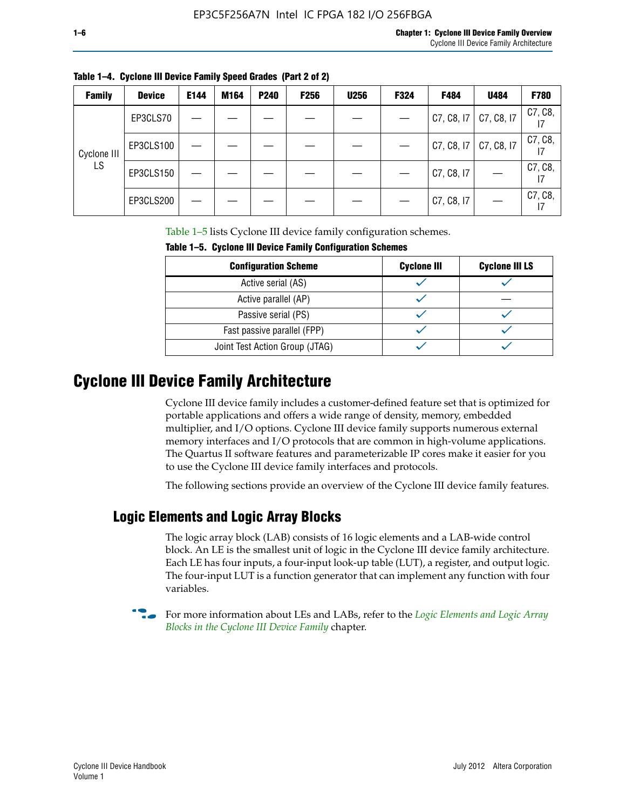| <b>Family</b> | <b>Device</b> | E144 | M164 | <b>P240</b> | <b>F256</b> | <b>U256</b> | F324 | F484                      | U484       | F780                       |
|---------------|---------------|------|------|-------------|-------------|-------------|------|---------------------------|------------|----------------------------|
|               | EP3CLS70      |      |      |             |             |             |      | $C7, C8, 17$ $C7, C8, 17$ |            | C7, C8,                    |
| Cyclone III   | EP3CLS100     |      |      |             |             |             |      | C7, C8, 17                | C7, C8, I7 | C7, C8,                    |
| LS            | EP3CLS150     |      |      |             |             |             |      | C7, C8, I7                |            | C7, C8,<br>$\overline{17}$ |
|               | EP3CLS200     |      |      |             |             |             |      | C7, C8, I7                |            | C7, C8,<br>17              |

**Table 1–4. Cyclone III Device Family Speed Grades (Part 2 of 2)**

Table 1–5 lists Cyclone III device family configuration schemes.

| <b>IQUIE 1-3. CYCLUILE III DEVICE FAILIIV CUILILUILATION SCIIENIES</b> |                    |                       |  |  |  |
|------------------------------------------------------------------------|--------------------|-----------------------|--|--|--|
| <b>Configuration Scheme</b>                                            | <b>Cyclone III</b> | <b>Cyclone III LS</b> |  |  |  |
| Active serial (AS)                                                     |                    |                       |  |  |  |
| Active parallel (AP)                                                   |                    |                       |  |  |  |
| Passive serial (PS)                                                    |                    |                       |  |  |  |
| Fast passive parallel (FPP)                                            |                    |                       |  |  |  |
| Joint Test Action Group (JTAG)                                         |                    |                       |  |  |  |

**Table 1–5. Cyclone III Device Family Configuration Schemes**

## **Cyclone III Device Family Architecture**

Cyclone III device family includes a customer-defined feature set that is optimized for portable applications and offers a wide range of density, memory, embedded multiplier, and I/O options. Cyclone III device family supports numerous external memory interfaces and I/O protocols that are common in high-volume applications. The Quartus II software features and parameterizable IP cores make it easier for you to use the Cyclone III device family interfaces and protocols.

The following sections provide an overview of the Cyclone III device family features.

#### **Logic Elements and Logic Array Blocks**

The logic array block (LAB) consists of 16 logic elements and a LAB-wide control block. An LE is the smallest unit of logic in the Cyclone III device family architecture. Each LE has four inputs, a four-input look-up table (LUT), a register, and output logic. The four-input LUT is a function generator that can implement any function with four variables.

f For more information about LEs and LABs, refer to the *[Logic Elements and Logic Array](http://www.altera.com/literature/hb/cyc3/cyc3_ciii51002.pdf)  [Blocks in the Cyclone III Device Family](http://www.altera.com/literature/hb/cyc3/cyc3_ciii51002.pdf)* chapter.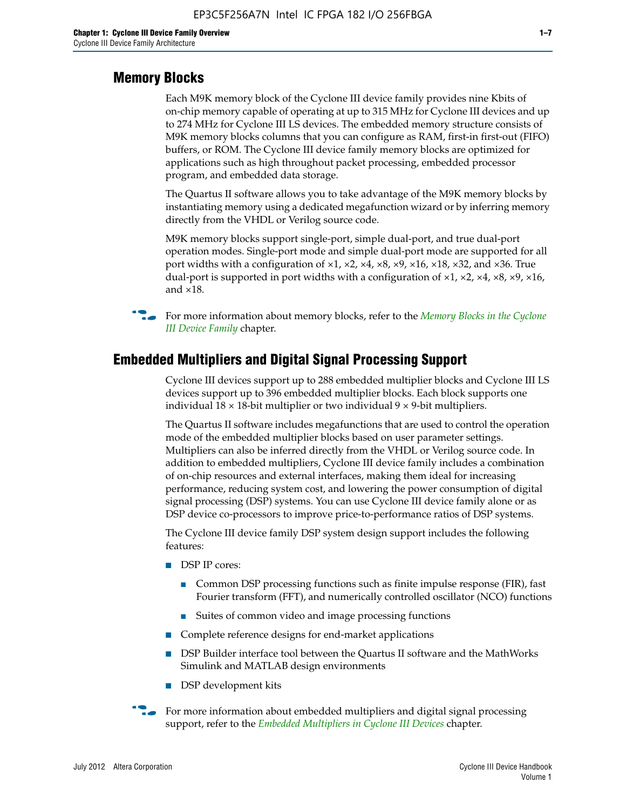#### **Memory Blocks**

Each M9K memory block of the Cyclone III device family provides nine Kbits of on-chip memory capable of operating at up to 315 MHz for Cyclone III devices and up to 274 MHz for Cyclone III LS devices. The embedded memory structure consists of M9K memory blocks columns that you can configure as RAM, first-in first-out (FIFO) buffers, or ROM. The Cyclone III device family memory blocks are optimized for applications such as high throughout packet processing, embedded processor program, and embedded data storage.

The Quartus II software allows you to take advantage of the M9K memory blocks by instantiating memory using a dedicated megafunction wizard or by inferring memory directly from the VHDL or Verilog source code.

M9K memory blocks support single-port, simple dual-port, and true dual-port operation modes. Single-port mode and simple dual-port mode are supported for all port widths with a configuration of  $\times1$ ,  $\times2$ ,  $\times4$ ,  $\times8$ ,  $\times9$ ,  $\times16$ ,  $\times18$ ,  $\times32$ , and  $\times36$ . True dual-port is supported in port widths with a configuration of  $\times$ 1,  $\times$ 2,  $\times$ 4,  $\times$ 8,  $\times$ 9,  $\times$ 16, and ×18.



**For more information about memory blocks, refer to the** *Memory Blocks in the Cyclone [III Device Family](http://www.altera.com/literature/hb/cyc3/cyc3_ciii51004.pdf)* chapter.

#### **Embedded Multipliers and Digital Signal Processing Support**

Cyclone III devices support up to 288 embedded multiplier blocks and Cyclone III LS devices support up to 396 embedded multiplier blocks. Each block supports one individual  $18 \times 18$ -bit multiplier or two individual  $9 \times 9$ -bit multipliers.

The Quartus II software includes megafunctions that are used to control the operation mode of the embedded multiplier blocks based on user parameter settings. Multipliers can also be inferred directly from the VHDL or Verilog source code. In addition to embedded multipliers, Cyclone III device family includes a combination of on-chip resources and external interfaces, making them ideal for increasing performance, reducing system cost, and lowering the power consumption of digital signal processing (DSP) systems. You can use Cyclone III device family alone or as DSP device co-processors to improve price-to-performance ratios of DSP systems.

The Cyclone III device family DSP system design support includes the following features:

- DSP IP cores:
	- Common DSP processing functions such as finite impulse response (FIR), fast Fourier transform (FFT), and numerically controlled oscillator (NCO) functions
	- Suites of common video and image processing functions
- Complete reference designs for end-market applications
- DSP Builder interface tool between the Quartus II software and the MathWorks Simulink and MATLAB design environments
- DSP development kits
- For more information about embedded multipliers and digital signal processing support, refer to the *[Embedded Multipliers in Cyclone III Devices](http://www.altera.com/literature/hb/cyc3/cyc3_ciii51005.pdf)* chapter.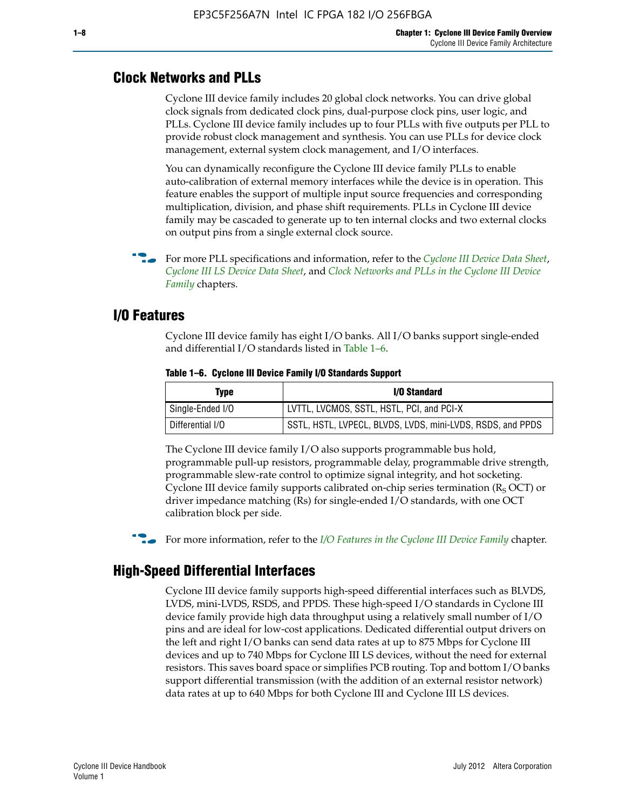#### **Clock Networks and PLLs**

Cyclone III device family includes 20 global clock networks. You can drive global clock signals from dedicated clock pins, dual-purpose clock pins, user logic, and PLLs. Cyclone III device family includes up to four PLLs with five outputs per PLL to provide robust clock management and synthesis. You can use PLLs for device clock management, external system clock management, and I/O interfaces.

You can dynamically reconfigure the Cyclone III device family PLLs to enable auto-calibration of external memory interfaces while the device is in operation. This feature enables the support of multiple input source frequencies and corresponding multiplication, division, and phase shift requirements. PLLs in Cyclone III device family may be cascaded to generate up to ten internal clocks and two external clocks on output pins from a single external clock source.

**For more PLL specifications and information, refer to the** *[Cyclone III Device Data Sheet](http://www.altera.com/literature/hb/cyc3/cyc3_ciii52001.pdf)***,** *[Cyclone III LS Device Data Sheet](http://www.altera.com/literature/hb/cyc3/cyc3_ciii52002.pdf)*, and *[Clock Networks and PLLs in the Cyclone III Device](http://www.altera.com/literature/hb/cyc3/cyc3_ciii51006.pdf)  [Family](http://www.altera.com/literature/hb/cyc3/cyc3_ciii51006.pdf)* chapters.

#### **I/O Features**

Cyclone III device family has eight I/O banks. All I/O banks support single-ended and differential I/O standards listed in Table 1–6.

| Type             | <b>I/O Standard</b>                                        |
|------------------|------------------------------------------------------------|
| Single-Ended I/O | LVTTL, LVCMOS, SSTL, HSTL, PCI, and PCI-X                  |
| Differential I/O | SSTL, HSTL, LVPECL, BLVDS, LVDS, mini-LVDS, RSDS, and PPDS |

**Table 1–6. Cyclone III Device Family I/O Standards Support** 

The Cyclone III device family I/O also supports programmable bus hold, programmable pull-up resistors, programmable delay, programmable drive strength, programmable slew-rate control to optimize signal integrity, and hot socketing. Cyclone III device family supports calibrated on-chip series termination ( $R_S$  OCT) or driver impedance matching (Rs) for single-ended I/O standards, with one OCT calibration block per side.

For more information, refer to the *[I/O Features in the Cyclone III Device Family](http://www.altera.com/literature/hb/cyc3/cyc3_ciii51007.pdf)* chapter.

#### **High-Speed Differential Interfaces**

Cyclone III device family supports high-speed differential interfaces such as BLVDS, LVDS, mini-LVDS, RSDS, and PPDS. These high-speed I/O standards in Cyclone III device family provide high data throughput using a relatively small number of I/O pins and are ideal for low-cost applications. Dedicated differential output drivers on the left and right I/O banks can send data rates at up to 875 Mbps for Cyclone III devices and up to 740 Mbps for Cyclone III LS devices, without the need for external resistors. This saves board space or simplifies PCB routing. Top and bottom I/O banks support differential transmission (with the addition of an external resistor network) data rates at up to 640 Mbps for both Cyclone III and Cyclone III LS devices.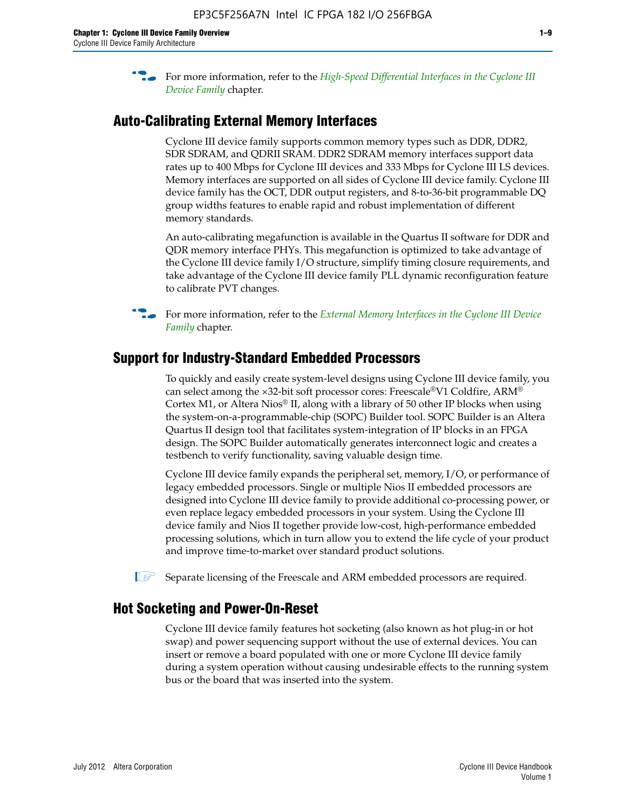**For more information, refer to the** *High-Speed Differential Interfaces in the Cyclone III* $\overline{a}$ *[Device Family](http://www.altera.com/literature/hb/cyc3/cyc3_ciii51008.pdf)* chapter.

#### **Auto-Calibrating External Memory Interfaces**

Cyclone III device family supports common memory types such as DDR, DDR2, SDR SDRAM, and QDRII SRAM. DDR2 SDRAM memory interfaces support data rates up to 400 Mbps for Cyclone III devices and 333 Mbps for Cyclone III LS devices. Memory interfaces are supported on all sides of Cyclone III device family. Cyclone III device family has the OCT, DDR output registers, and 8-to-36-bit programmable DQ group widths features to enable rapid and robust implementation of different memory standards.

An auto-calibrating megafunction is available in the Quartus II software for DDR and QDR memory interface PHYs. This megafunction is optimized to take advantage of the Cyclone III device family I/O structure, simplify timing closure requirements, and take advantage of the Cyclone III device family PLL dynamic reconfiguration feature to calibrate PVT changes.

**For more information, refer to the** *External Memory Interfaces in the Cyclone III Device [Family](http://www.altera.com/literature/hb/cyc3/cyc3_ciii51009.pdf)* chapter.

#### **Support for Industry-Standard Embedded Processors**

To quickly and easily create system-level designs using Cyclone III device family, you can select among the ×32-bit soft processor cores: Freescale®V1 Coldfire, ARM® Cortex M1, or Altera Nios® II, along with a library of 50 other IP blocks when using the system-on-a-programmable-chip (SOPC) Builder tool. SOPC Builder is an Altera Quartus II design tool that facilitates system-integration of IP blocks in an FPGA design. The SOPC Builder automatically generates interconnect logic and creates a testbench to verify functionality, saving valuable design time.

Cyclone III device family expands the peripheral set, memory, I/O, or performance of legacy embedded processors. Single or multiple Nios II embedded processors are designed into Cyclone III device family to provide additional co-processing power, or even replace legacy embedded processors in your system. Using the Cyclone III device family and Nios II together provide low-cost, high-performance embedded processing solutions, which in turn allow you to extend the life cycle of your product and improve time-to-market over standard product solutions.

 $\mathbb{I}$  Separate licensing of the Freescale and ARM embedded processors are required.

#### **Hot Socketing and Power-On-Reset**

Cyclone III device family features hot socketing (also known as hot plug-in or hot swap) and power sequencing support without the use of external devices. You can insert or remove a board populated with one or more Cyclone III device family during a system operation without causing undesirable effects to the running system bus or the board that was inserted into the system.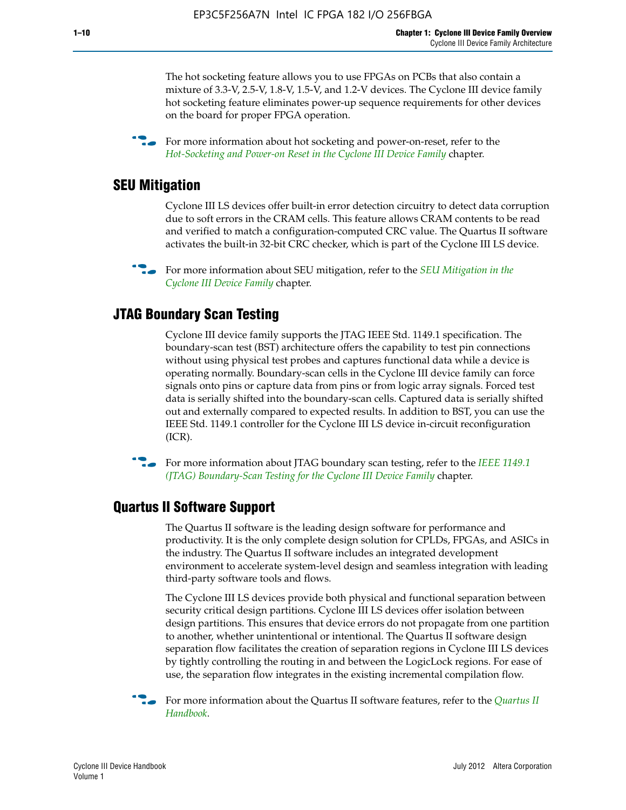The hot socketing feature allows you to use FPGAs on PCBs that also contain a mixture of 3.3-V, 2.5-V, 1.8-V, 1.5-V, and 1.2-V devices. The Cyclone III device family hot socketing feature eliminates power-up sequence requirements for other devices on the board for proper FPGA operation.

For more information about hot socketing and power-on-reset, refer to the *[Hot-Socketing and Power-on Reset in the Cyclone III Device Family](http://www.altera.com/literature/hb/cyc3/cyc3_ciii51011.pdf)* chapter.

#### **SEU Mitigation**

Cyclone III LS devices offer built-in error detection circuitry to detect data corruption due to soft errors in the CRAM cells. This feature allows CRAM contents to be read and verified to match a configuration-computed CRC value. The Quartus II software activates the built-in 32-bit CRC checker, which is part of the Cyclone III LS device.

**For more information about SEU mitigation, refer to the** *SEU Mitigation in the [Cyclone III Device Family](http://www.altera.com/literature/hb/cyc3/cyc3_ciii51013.pdf)* chapter.

#### **JTAG Boundary Scan Testing**

Cyclone III device family supports the JTAG IEEE Std. 1149.1 specification. The boundary-scan test (BST) architecture offers the capability to test pin connections without using physical test probes and captures functional data while a device is operating normally. Boundary-scan cells in the Cyclone III device family can force signals onto pins or capture data from pins or from logic array signals. Forced test data is serially shifted into the boundary-scan cells. Captured data is serially shifted out and externally compared to expected results. In addition to BST, you can use the IEEE Std. 1149.1 controller for the Cyclone III LS device in-circuit reconfiguration (ICR).

**f f**or more information about JTAG boundary scan testing, refer to the *IEEE* 1149.1 *[\(JTAG\) Boundary-Scan Testing for the Cyclone III Device Family](http://www.altera.com/literature/hb/cyc3/cyc3_ciii51014.pdf)* chapter.

#### **Quartus II Software Support**

The Quartus II software is the leading design software for performance and productivity. It is the only complete design solution for CPLDs, FPGAs, and ASICs in the industry. The Quartus II software includes an integrated development environment to accelerate system-level design and seamless integration with leading third-party software tools and flows.

The Cyclone III LS devices provide both physical and functional separation between security critical design partitions. Cyclone III LS devices offer isolation between design partitions. This ensures that device errors do not propagate from one partition to another, whether unintentional or intentional. The Quartus II software design separation flow facilitates the creation of separation regions in Cyclone III LS devices by tightly controlling the routing in and between the LogicLock regions. For ease of use, the separation flow integrates in the existing incremental compilation flow.

f For more information about the Quartus II software features, refer to the *[Quartus II](http://www.altera.com/literature/hb/qts/quartusii_handbook.pdf)  [Handbook](http://www.altera.com/literature/hb/qts/quartusii_handbook.pdf)*.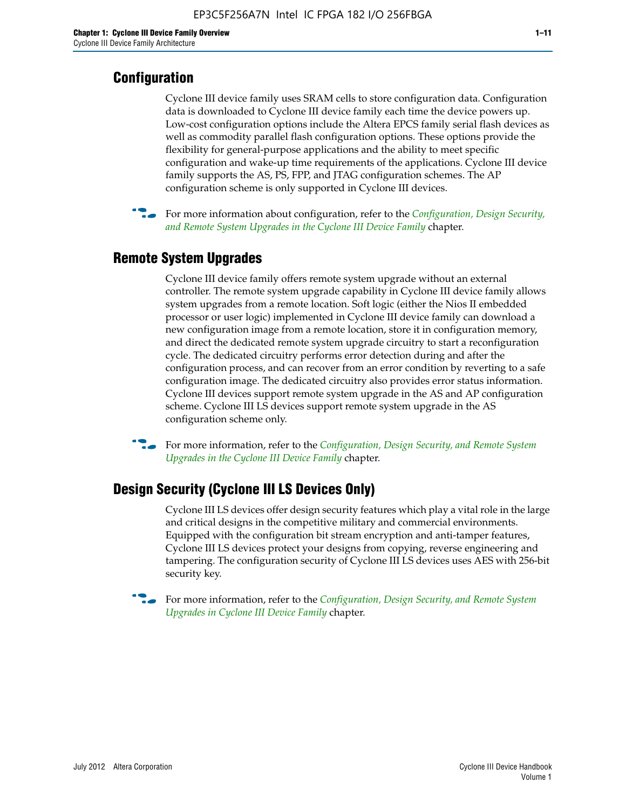#### **Configuration**

Cyclone III device family uses SRAM cells to store configuration data. Configuration data is downloaded to Cyclone III device family each time the device powers up. Low-cost configuration options include the Altera EPCS family serial flash devices as well as commodity parallel flash configuration options. These options provide the flexibility for general-purpose applications and the ability to meet specific configuration and wake-up time requirements of the applications. Cyclone III device family supports the AS, PS, FPP, and JTAG configuration schemes. The AP configuration scheme is only supported in Cyclone III devices.



f For more information about configuration, refer to the *[Configuration, Design Security,](http://www.altera.com/literature/hb/cyc3/cyc3_ciii51016.pdf)  [and Remote System Upgrades in the Cyclone III Device Family](http://www.altera.com/literature/hb/cyc3/cyc3_ciii51016.pdf)* chapter.

#### **Remote System Upgrades**

Cyclone III device family offers remote system upgrade without an external controller. The remote system upgrade capability in Cyclone III device family allows system upgrades from a remote location. Soft logic (either the Nios II embedded processor or user logic) implemented in Cyclone III device family can download a new configuration image from a remote location, store it in configuration memory, and direct the dedicated remote system upgrade circuitry to start a reconfiguration cycle. The dedicated circuitry performs error detection during and after the configuration process, and can recover from an error condition by reverting to a safe configuration image. The dedicated circuitry also provides error status information. Cyclone III devices support remote system upgrade in the AS and AP configuration scheme. Cyclone III LS devices support remote system upgrade in the AS configuration scheme only.

**For more information, refer to the** *Configuration, Design Security, and Remote System [Upgrades in the Cyclone III Device Family](http://www.altera.com/literature/hb/cyc3/cyc3_ciii51016.pdf)* chapter.

#### **Design Security (Cyclone III LS Devices Only)**

Cyclone III LS devices offer design security features which play a vital role in the large and critical designs in the competitive military and commercial environments. Equipped with the configuration bit stream encryption and anti-tamper features, Cyclone III LS devices protect your designs from copying, reverse engineering and tampering. The configuration security of Cyclone III LS devices uses AES with 256-bit security key.

f For more information, refer to the *[Configuration, Design Security, and Remote System](http://www.altera.com/literature/hb/cyc3/cyc3_ciii51016.pdf)  [Upgrades in Cyclone III Device Family](http://www.altera.com/literature/hb/cyc3/cyc3_ciii51016.pdf)* chapter.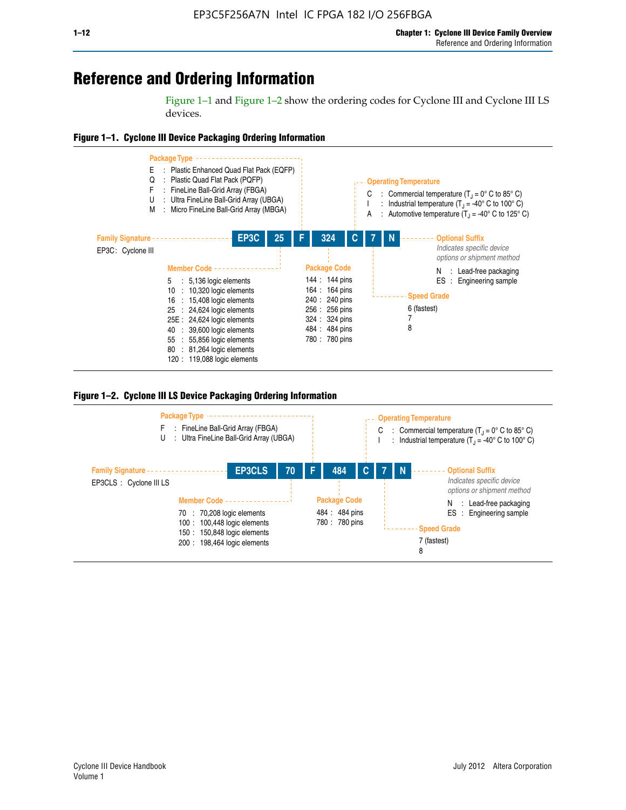## **Reference and Ordering Information**

Figure 1–1 and Figure 1–2 show the ordering codes for Cyclone III and Cyclone III LS devices.







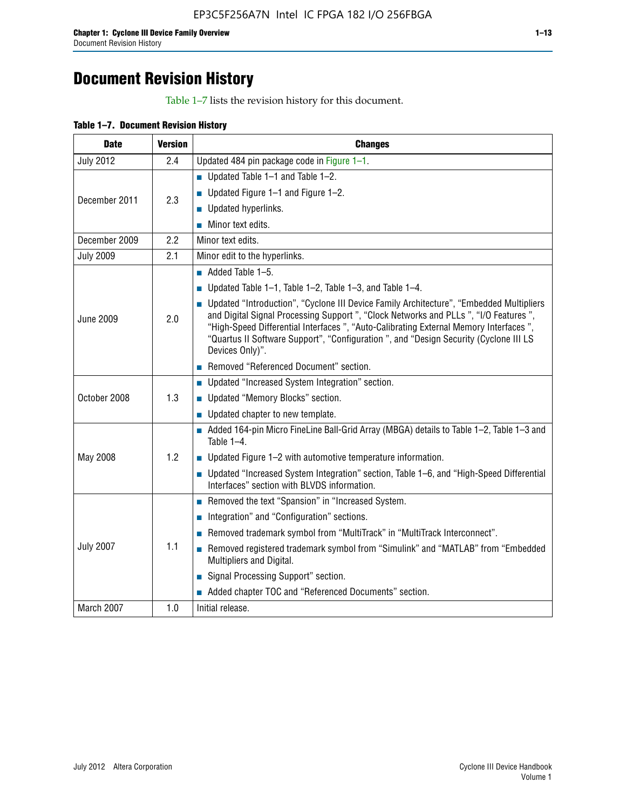# **Document Revision History**

Table 1–7 lists the revision history for this document.

|  | Table 1-7. Document Revision History |  |  |  |
|--|--------------------------------------|--|--|--|
|--|--------------------------------------|--|--|--|

| <b>Date</b>      | <b>Version</b> | <b>Changes</b>                                                                                                                                                                                                                                                                                                                                                                          |
|------------------|----------------|-----------------------------------------------------------------------------------------------------------------------------------------------------------------------------------------------------------------------------------------------------------------------------------------------------------------------------------------------------------------------------------------|
| <b>July 2012</b> | 2.4            | Updated 484 pin package code in Figure 1-1.                                                                                                                                                                                                                                                                                                                                             |
|                  |                | Updated Table $1-1$ and Table $1-2$ .                                                                                                                                                                                                                                                                                                                                                   |
| December 2011    | 2.3            | ■ Updated Figure $1-1$ and Figure $1-2$ .                                                                                                                                                                                                                                                                                                                                               |
|                  |                | Updated hyperlinks.                                                                                                                                                                                                                                                                                                                                                                     |
|                  |                | Minor text edits.                                                                                                                                                                                                                                                                                                                                                                       |
| December 2009    | 2.2            | Minor text edits.                                                                                                                                                                                                                                                                                                                                                                       |
| <b>July 2009</b> | 2.1            | Minor edit to the hyperlinks.                                                                                                                                                                                                                                                                                                                                                           |
|                  |                | $\blacksquare$ Added Table 1-5.                                                                                                                                                                                                                                                                                                                                                         |
|                  |                | Updated Table $1-1$ , Table $1-2$ , Table $1-3$ , and Table $1-4$ .                                                                                                                                                                                                                                                                                                                     |
| <b>June 2009</b> | 2.0            | • Updated "Introduction", "Cyclone III Device Family Architecture", "Embedded Multipliers<br>and Digital Signal Processing Support ", "Clock Networks and PLLs ", "I/O Features ",<br>"High-Speed Differential Interfaces ", "Auto-Calibrating External Memory Interfaces",<br>"Quartus II Software Support", "Configuration ", and "Design Security (Cyclone III LS<br>Devices Only)". |
|                  |                | Removed "Referenced Document" section.                                                                                                                                                                                                                                                                                                                                                  |
|                  |                | <b>Updated "Increased System Integration" section.</b>                                                                                                                                                                                                                                                                                                                                  |
| October 2008     | 1.3            | Updated "Memory Blocks" section.                                                                                                                                                                                                                                                                                                                                                        |
|                  |                | • Updated chapter to new template.                                                                                                                                                                                                                                                                                                                                                      |
|                  |                | Added 164-pin Micro FineLine Ball-Grid Array (MBGA) details to Table 1-2, Table 1-3 and<br>Table 1-4.                                                                                                                                                                                                                                                                                   |
| May 2008         | 1.2            | $\blacksquare$ Updated Figure 1-2 with automotive temperature information.                                                                                                                                                                                                                                                                                                              |
|                  |                | ■ Updated "Increased System Integration" section, Table 1–6, and "High-Speed Differential<br>Interfaces" section with BLVDS information.                                                                                                                                                                                                                                                |
|                  |                | Removed the text "Spansion" in "Increased System.                                                                                                                                                                                                                                                                                                                                       |
|                  |                | Integration" and "Configuration" sections.                                                                                                                                                                                                                                                                                                                                              |
| <b>July 2007</b> |                | Removed trademark symbol from "MultiTrack" in "MultiTrack Interconnect".                                                                                                                                                                                                                                                                                                                |
|                  | 1.1            | Removed registered trademark symbol from "Simulink" and "MATLAB" from "Embedded<br>Multipliers and Digital.                                                                                                                                                                                                                                                                             |
|                  |                | Signal Processing Support" section.                                                                                                                                                                                                                                                                                                                                                     |
|                  |                | Added chapter TOC and "Referenced Documents" section.                                                                                                                                                                                                                                                                                                                                   |
| March 2007       | 1.0            | Initial release.                                                                                                                                                                                                                                                                                                                                                                        |